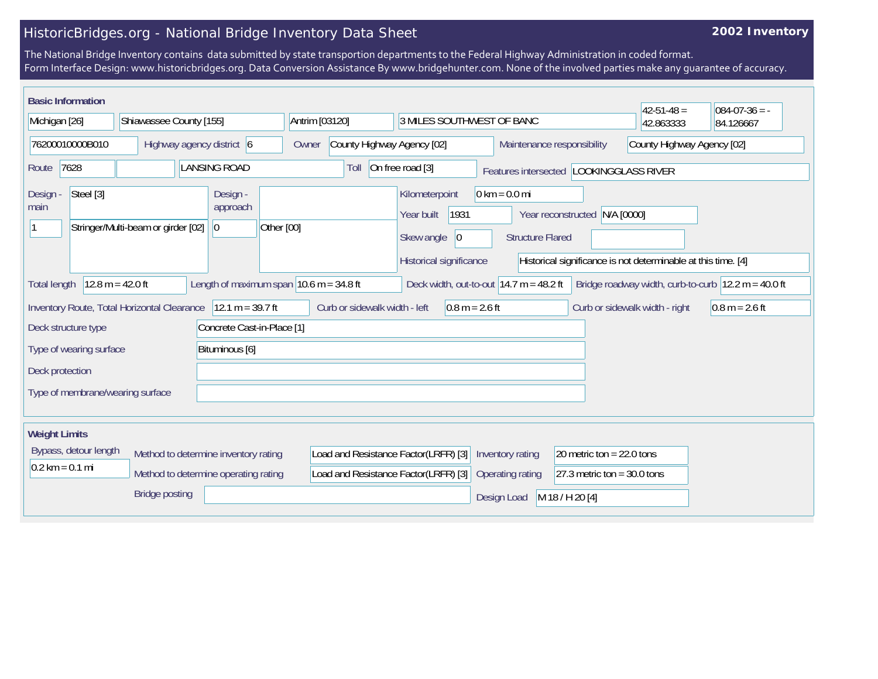## HistoricBridges.org - National Bridge Inventory Data Sheet

## **2002 Inventory**

The National Bridge Inventory contains data submitted by state transportion departments to the Federal Highway Administration in coded format. Form Interface Design: www.historicbridges.org. Data Conversion Assistance By www.bridgehunter.com. None of the involved parties make any guarantee of accuracy.

| <b>Basic Information</b><br>Michigan [26]                                                                                                                                                                                                                                       | Shiawassee County [155]                                                   | Antrim [03120]             |                                                                              | 3 MILES SOUTHWEST OF BANC                                                                    |                                                            |                                                              | $42 - 51 - 48 =$<br>42.863333  | $084-07-36 = -$<br>84.126667 |
|---------------------------------------------------------------------------------------------------------------------------------------------------------------------------------------------------------------------------------------------------------------------------------|---------------------------------------------------------------------------|----------------------------|------------------------------------------------------------------------------|----------------------------------------------------------------------------------------------|------------------------------------------------------------|--------------------------------------------------------------|--------------------------------|------------------------------|
| 76200010000B010<br>Highway agency district 6                                                                                                                                                                                                                                    |                                                                           | Owner                      | County Highway Agency [02]                                                   |                                                                                              |                                                            | Maintenance responsibility                                   | County Highway Agency [02]     |                              |
| 7628<br>Route                                                                                                                                                                                                                                                                   | <b>LANSING ROAD</b>                                                       |                            | Toll                                                                         | On free road [3]                                                                             |                                                            | Features intersected LOOKINGGLASS RIVER                      |                                |                              |
| Steel [3]<br>Design<br>main                                                                                                                                                                                                                                                     | Design -<br>approach<br>Stringer/Multi-beam or girder [02]<br>$ 0\rangle$ | Other [00]                 |                                                                              | Kilometerpoint<br>1931<br>Year built<br>Skew angle<br>$ 0\rangle$<br>Historical significance | $0 \text{ km} = 0.0 \text{ mi}$<br><b>Structure Flared</b> | Year reconstructed N/A [0000]                                |                                |                              |
| Historical significance is not determinable at this time. [4]<br>$12.8 m = 42.0 ft$<br>Length of maximum span $10.6$ m = 34.8 ft<br>Deck width, out-to-out $14.7$ m = 48.2 ft<br>Bridge roadway width, curb-to-curb $ 12.2 \text{ m} = 40.0 \text{ ft} $<br><b>Total length</b> |                                                                           |                            |                                                                              |                                                                                              |                                                            |                                                              |                                |                              |
|                                                                                                                                                                                                                                                                                 | Inventory Route, Total Horizontal Clearance   12.1 m = 39.7 ft            |                            | Curb or sidewalk width - left                                                | $0.8 m = 2.6 ft$                                                                             |                                                            |                                                              | Curb or sidewalk width - right | $0.8 m = 2.6 ft$             |
| Deck structure type                                                                                                                                                                                                                                                             |                                                                           | Concrete Cast-in-Place [1] |                                                                              |                                                                                              |                                                            |                                                              |                                |                              |
| Type of wearing surface<br>Deck protection                                                                                                                                                                                                                                      | Bituminous [6]                                                            |                            |                                                                              |                                                                                              |                                                            |                                                              |                                |                              |
| Type of membrane/wearing surface                                                                                                                                                                                                                                                |                                                                           |                            |                                                                              |                                                                                              |                                                            |                                                              |                                |                              |
| <b>Weight Limits</b>                                                                                                                                                                                                                                                            |                                                                           |                            |                                                                              |                                                                                              |                                                            |                                                              |                                |                              |
| Bypass, detour length<br>Method to determine inventory rating<br>$0.2 \text{ km} = 0.1 \text{ mi}$<br>Method to determine operating rating                                                                                                                                      |                                                                           |                            | Load and Resistance Factor(LRFR) [3]<br>Load and Resistance Factor(LRFR) [3] |                                                                                              | Inventory rating<br>Operating rating                       | 20 metric ton = $22.0$ tons<br>27.3 metric ton = $30.0$ tons |                                |                              |
|                                                                                                                                                                                                                                                                                 | <b>Bridge posting</b>                                                     |                            |                                                                              |                                                                                              | Design Load                                                | M 18 / H 20 [4]                                              |                                |                              |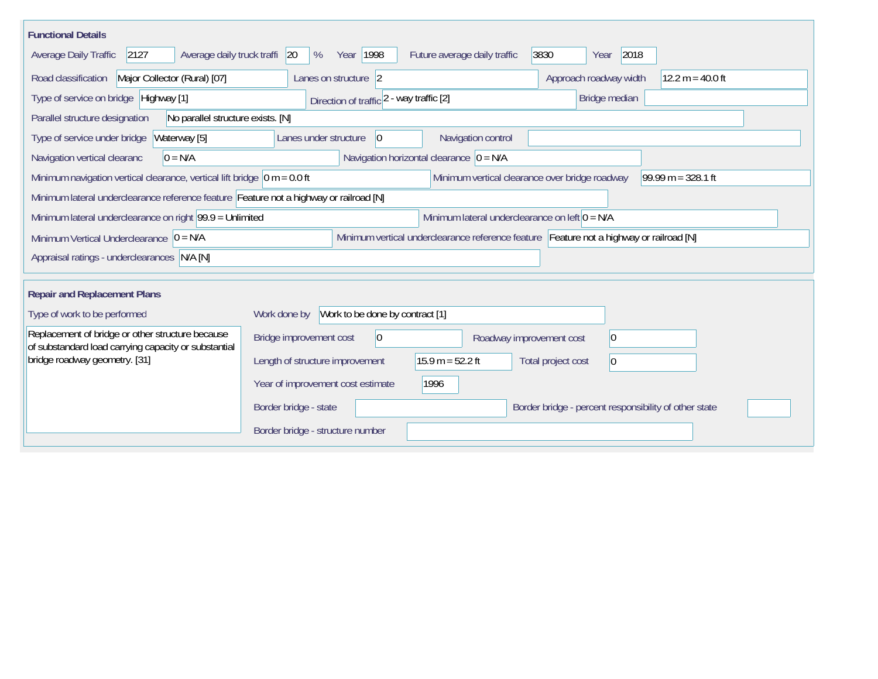| <b>Functional Details</b>                                                                                      |                                                                                         |                              |                                                       |                      |  |  |
|----------------------------------------------------------------------------------------------------------------|-----------------------------------------------------------------------------------------|------------------------------|-------------------------------------------------------|----------------------|--|--|
| 2127<br>Average daily truck traffi<br>Average Daily Traffic                                                    | Year 1998<br><b>20</b><br>%                                                             | Future average daily traffic | 3830<br>2018<br>Year                                  |                      |  |  |
| Road classification<br>Major Collector (Rural) [07]                                                            | Lanes on structure 2                                                                    |                              | Approach roadway width                                | $12.2 m = 40.0 ft$   |  |  |
| Type of service on bridge Highway [1]                                                                          | Direction of traffic 2 - way traffic [2]                                                |                              | Bridge median                                         |                      |  |  |
| Parallel structure designation<br>No parallel structure exists. [N]                                            |                                                                                         |                              |                                                       |                      |  |  |
| Waterway [5]<br>Type of service under bridge                                                                   | Lanes under structure<br> 0                                                             | Navigation control           |                                                       |                      |  |  |
| Navigation horizontal clearance $ 0 = N/A$<br>Navigation vertical clearanc<br>$0 = N/A$                        |                                                                                         |                              |                                                       |                      |  |  |
| Minimum navigation vertical clearance, vertical lift bridge $\vert$ 0 m = 0.0 ft                               |                                                                                         |                              | Minimum vertical clearance over bridge roadway        | $99.99 m = 328.1 ft$ |  |  |
| Minimum lateral underclearance reference feature Feature not a highway or railroad [N]                         |                                                                                         |                              |                                                       |                      |  |  |
| Minimum lateral underclearance on right $99.9 =$ Unlimited<br>Minimum lateral underclearance on left $0 = N/A$ |                                                                                         |                              |                                                       |                      |  |  |
| Minimum Vertical Underclearance $ 0 = N/A$                                                                     | Minimum vertical underclearance reference feature Feature not a highway or railroad [N] |                              |                                                       |                      |  |  |
| Appraisal ratings - underclearances N/A [N]                                                                    |                                                                                         |                              |                                                       |                      |  |  |
| <b>Repair and Replacement Plans</b>                                                                            |                                                                                         |                              |                                                       |                      |  |  |
| Type of work to be performed                                                                                   | Work done by Work to be done by contract [1]                                            |                              |                                                       |                      |  |  |
| Replacement of bridge or other structure because<br>of substandard load carrying capacity or substantial       | Bridge improvement cost<br>$ 0\rangle$                                                  |                              | 0<br>Roadway improvement cost                         |                      |  |  |
| bridge roadway geometry. [31]                                                                                  | Length of structure improvement                                                         | $15.9 m = 52.2 ft$           | Total project cost<br>0                               |                      |  |  |
|                                                                                                                | Year of improvement cost estimate                                                       | 1996                         |                                                       |                      |  |  |
|                                                                                                                | Border bridge - state                                                                   |                              | Border bridge - percent responsibility of other state |                      |  |  |
|                                                                                                                | Border bridge - structure number                                                        |                              |                                                       |                      |  |  |